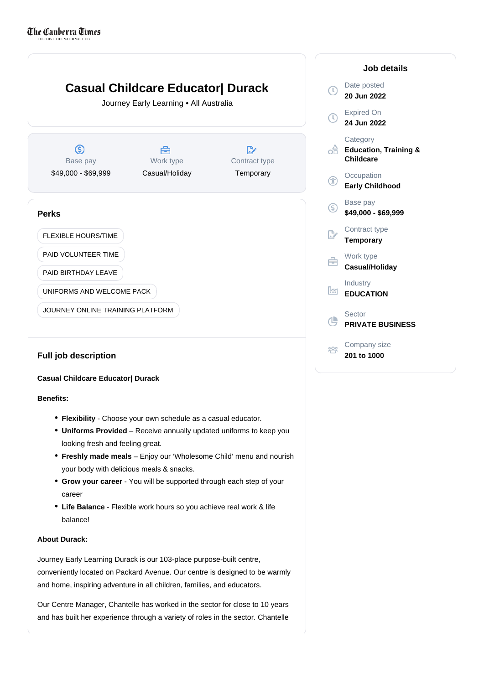

# **Benefits:**

- **Flexibility** Choose your own schedule as a casual educator.
- Uniforms Provided Receive annually updated uniforms to keep you looking fresh and feeling great.
- **Freshly made meals** Enjoy our 'Wholesome Child' menu and nourish your body with delicious meals & snacks.
- Grow your career You will be supported through each step of your career
- Life Balance Flexible work hours so you achieve real work & life balance!

## **About Durack:**

Journey Early Learning Durack is our 103-place purpose-built centre, conveniently located on Packard Avenue. Our centre is designed to be warmly and home, inspiring adventure in all children, families, and educators.

Our Centre Manager, Chantelle has worked in the sector for close to 10 years and has built her experience through a variety of roles in the sector. Chantelle

|   | Job details                                               |
|---|-----------------------------------------------------------|
|   | Date posted<br>20 Jun 2022                                |
|   | <b>Expired On</b><br>24 Jun 2022                          |
|   | Category<br><b>Education, Training &amp;</b><br>Childcare |
|   | Occupation<br><b>Early Childhood</b>                      |
|   | Base pay<br>\$49,000 - \$69,999                           |
|   | Contract type<br><b>Temporary</b>                         |
|   | Work type<br>Casual/Holiday                               |
| ж | Industry<br><b>EDUCATION</b>                              |
|   | Sector<br><b>PRIVATE BUSINESS</b>                         |
|   | Company size<br>201 to 1000                               |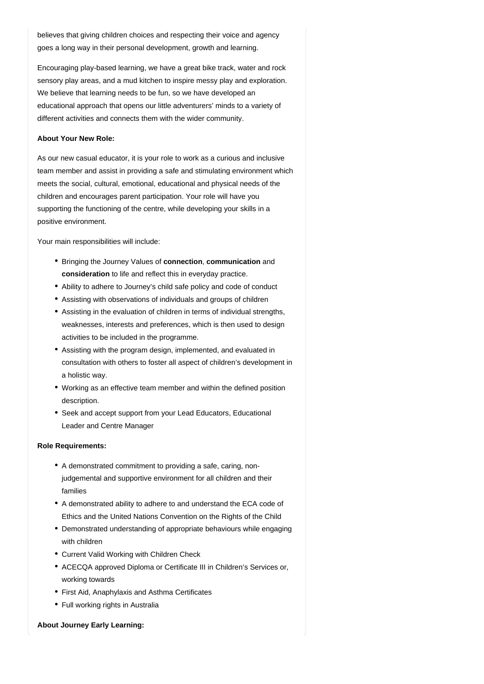believes that giving children choices and respecting their voice and agency goes a long way in their personal development, growth and learning.

Encouraging play-based learning, we have a great bike track, water and rock sensory play areas, and a mud kitchen to inspire messy play and exploration. We believe that learning needs to be fun, so we have developed an educational approach that opens our little adventurers' minds to a variety of different activities and connects them with the wider community.

### **About Your New Role:**

As our new casual educator, it is your role to work as a curious and inclusive team member and assist in providing a safe and stimulating environment which meets the social, cultural, emotional, educational and physical needs of the children and encourages parent participation. Your role will have you supporting the functioning of the centre, while developing your skills in a positive environment.

Your main responsibilities will include:

- Bringing the Journey Values of **connection**, **communication** and consideration to life and reflect this in everyday practice.
- Ability to adhere to Journey's child safe policy and code of conduct
- Assisting with observations of individuals and groups of children
- Assisting in the evaluation of children in terms of individual strengths, weaknesses, interests and preferences, which is then used to design activities to be included in the programme.
- Assisting with the program design, implemented, and evaluated in consultation with others to foster all aspect of children's development in a holistic way.
- Working as an effective team member and within the defined position description.
- Seek and accept support from your Lead Educators, Educational Leader and Centre Manager

#### **Role Requirements:**

- A demonstrated commitment to providing a safe, caring, nonjudgemental and supportive environment for all children and their families
- A demonstrated ability to adhere to and understand the ECA code of Ethics and the United Nations Convention on the Rights of the Child
- Demonstrated understanding of appropriate behaviours while engaging with children
- Current Valid Working with Children Check
- ACECQA approved Diploma or Certificate III in Children's Services or, working towards
- First Aid, Anaphylaxis and Asthma Certificates
- Full working rights in Australia

### **About Journey Early Learning:**